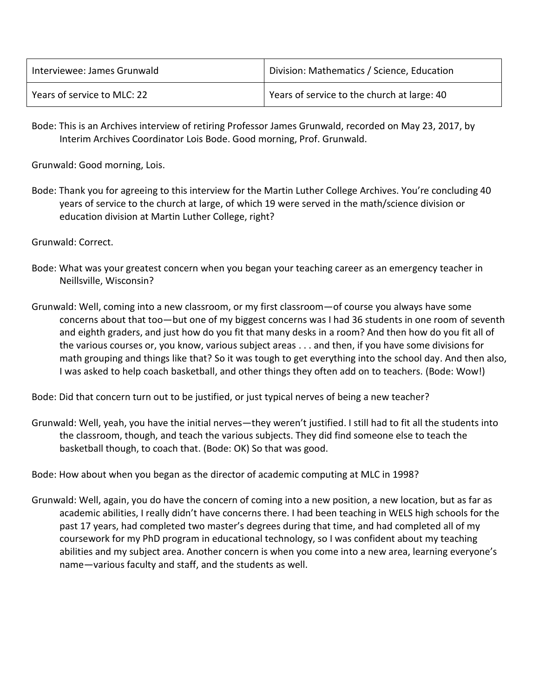| Interviewee: James Grunwald | Division: Mathematics / Science, Education  |
|-----------------------------|---------------------------------------------|
| Years of service to MLC: 22 | Years of service to the church at large: 40 |

Bode: This is an Archives interview of retiring Professor James Grunwald, recorded on May 23, 2017, by Interim Archives Coordinator Lois Bode. Good morning, Prof. Grunwald.

Grunwald: Good morning, Lois.

Bode: Thank you for agreeing to this interview for the Martin Luther College Archives. You're concluding 40 years of service to the church at large, of which 19 were served in the math/science division or education division at Martin Luther College, right?

Grunwald: Correct.

- Bode: What was your greatest concern when you began your teaching career as an emergency teacher in Neillsville, Wisconsin?
- Grunwald: Well, coming into a new classroom, or my first classroom—of course you always have some concerns about that too—but one of my biggest concerns was I had 36 students in one room of seventh and eighth graders, and just how do you fit that many desks in a room? And then how do you fit all of the various courses or, you know, various subject areas . . . and then, if you have some divisions for math grouping and things like that? So it was tough to get everything into the school day. And then also, I was asked to help coach basketball, and other things they often add on to teachers. (Bode: Wow!)

Bode: Did that concern turn out to be justified, or just typical nerves of being a new teacher?

Grunwald: Well, yeah, you have the initial nerves—they weren't justified. I still had to fit all the students into the classroom, though, and teach the various subjects. They did find someone else to teach the basketball though, to coach that. (Bode: OK) So that was good.

Bode: How about when you began as the director of academic computing at MLC in 1998?

Grunwald: Well, again, you do have the concern of coming into a new position, a new location, but as far as academic abilities, I really didn't have concerns there. I had been teaching in WELS high schools for the past 17 years, had completed two master's degrees during that time, and had completed all of my coursework for my PhD program in educational technology, so I was confident about my teaching abilities and my subject area. Another concern is when you come into a new area, learning everyone's name—various faculty and staff, and the students as well.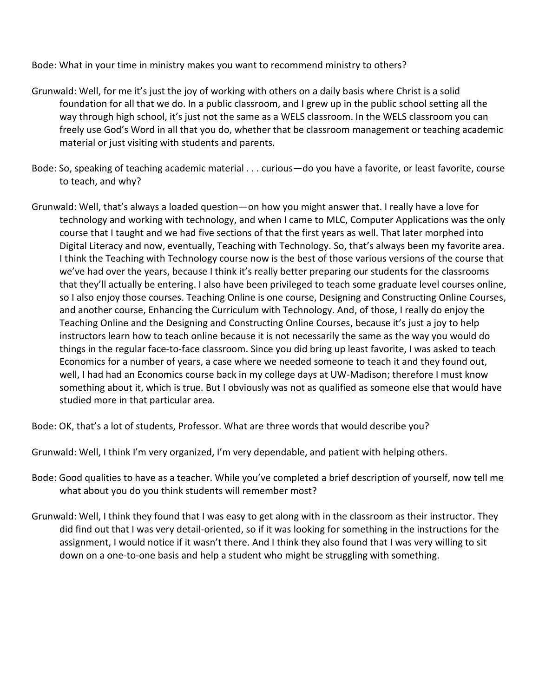Bode: What in your time in ministry makes you want to recommend ministry to others?

- Grunwald: Well, for me it's just the joy of working with others on a daily basis where Christ is a solid foundation for all that we do. In a public classroom, and I grew up in the public school setting all the way through high school, it's just not the same as a WELS classroom. In the WELS classroom you can freely use God's Word in all that you do, whether that be classroom management or teaching academic material or just visiting with students and parents.
- Bode: So, speaking of teaching academic material . . . curious—do you have a favorite, or least favorite, course to teach, and why?
- Grunwald: Well, that's always a loaded question—on how you might answer that. I really have a love for technology and working with technology, and when I came to MLC, Computer Applications was the only course that I taught and we had five sections of that the first years as well. That later morphed into Digital Literacy and now, eventually, Teaching with Technology. So, that's always been my favorite area. I think the Teaching with Technology course now is the best of those various versions of the course that we've had over the years, because I think it's really better preparing our students for the classrooms that they'll actually be entering. I also have been privileged to teach some graduate level courses online, so I also enjoy those courses. Teaching Online is one course, Designing and Constructing Online Courses, and another course, Enhancing the Curriculum with Technology. And, of those, I really do enjoy the Teaching Online and the Designing and Constructing Online Courses, because it's just a joy to help instructors learn how to teach online because it is not necessarily the same as the way you would do things in the regular face-to-face classroom. Since you did bring up least favorite, I was asked to teach Economics for a number of years, a case where we needed someone to teach it and they found out, well, I had had an Economics course back in my college days at UW-Madison; therefore I must know something about it, which is true. But I obviously was not as qualified as someone else that would have studied more in that particular area.

Bode: OK, that's a lot of students, Professor. What are three words that would describe you?

Grunwald: Well, I think I'm very organized, I'm very dependable, and patient with helping others.

- Bode: Good qualities to have as a teacher. While you've completed a brief description of yourself, now tell me what about you do you think students will remember most?
- Grunwald: Well, I think they found that I was easy to get along with in the classroom as their instructor. They did find out that I was very detail-oriented, so if it was looking for something in the instructions for the assignment, I would notice if it wasn't there. And I think they also found that I was very willing to sit down on a one-to-one basis and help a student who might be struggling with something.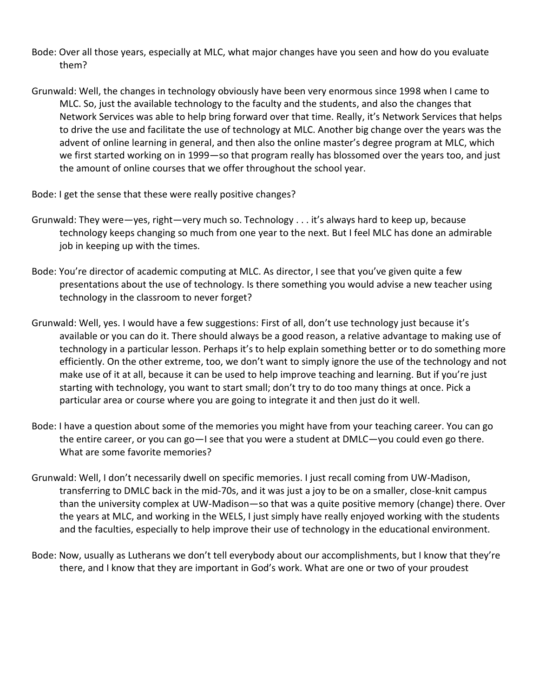- Bode: Over all those years, especially at MLC, what major changes have you seen and how do you evaluate them?
- Grunwald: Well, the changes in technology obviously have been very enormous since 1998 when I came to MLC. So, just the available technology to the faculty and the students, and also the changes that Network Services was able to help bring forward over that time. Really, it's Network Services that helps to drive the use and facilitate the use of technology at MLC. Another big change over the years was the advent of online learning in general, and then also the online master's degree program at MLC, which we first started working on in 1999—so that program really has blossomed over the years too, and just the amount of online courses that we offer throughout the school year.
- Bode: I get the sense that these were really positive changes?
- Grunwald: They were—yes, right—very much so. Technology . . . it's always hard to keep up, because technology keeps changing so much from one year to the next. But I feel MLC has done an admirable job in keeping up with the times.
- Bode: You're director of academic computing at MLC. As director, I see that you've given quite a few presentations about the use of technology. Is there something you would advise a new teacher using technology in the classroom to never forget?
- Grunwald: Well, yes. I would have a few suggestions: First of all, don't use technology just because it's available or you can do it. There should always be a good reason, a relative advantage to making use of technology in a particular lesson. Perhaps it's to help explain something better or to do something more efficiently. On the other extreme, too, we don't want to simply ignore the use of the technology and not make use of it at all, because it can be used to help improve teaching and learning. But if you're just starting with technology, you want to start small; don't try to do too many things at once. Pick a particular area or course where you are going to integrate it and then just do it well.
- Bode: I have a question about some of the memories you might have from your teaching career. You can go the entire career, or you can go—I see that you were a student at DMLC—you could even go there. What are some favorite memories?
- Grunwald: Well, I don't necessarily dwell on specific memories. I just recall coming from UW-Madison, transferring to DMLC back in the mid-70s, and it was just a joy to be on a smaller, close-knit campus than the university complex at UW-Madison—so that was a quite positive memory (change) there. Over the years at MLC, and working in the WELS, I just simply have really enjoyed working with the students and the faculties, especially to help improve their use of technology in the educational environment.
- Bode: Now, usually as Lutherans we don't tell everybody about our accomplishments, but I know that they're there, and I know that they are important in God's work. What are one or two of your proudest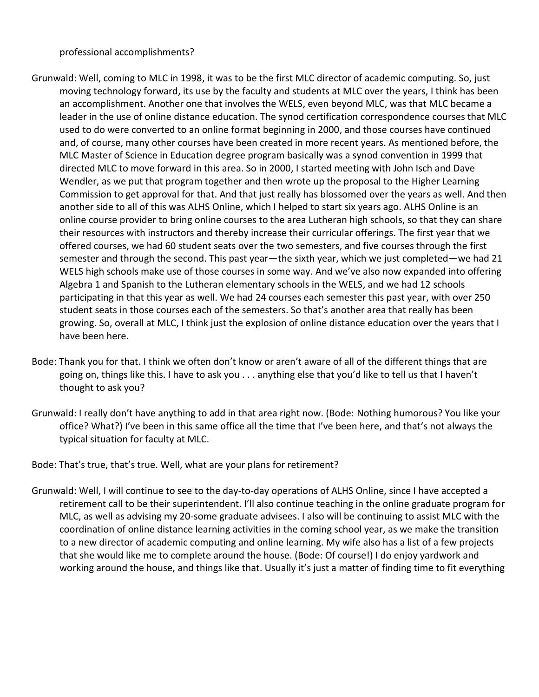professional accomplishments?

- Grunwald: Well, coming to MLC in 1998, it was to be the first MLC director of academic computing. So, just moving technology forward, its use by the faculty and students at MLC over the years, I think has been an accomplishment. Another one that involves the WELS, even beyond MLC, was that MLC became a leader in the use of online distance education. The synod certification correspondence courses that MLC used to do were converted to an online format beginning in 2000, and those courses have continued and, of course, many other courses have been created in more recent years. As mentioned before, the MLC Master of Science in Education degree program basically was a synod convention in 1999 that directed MLC to move forward in this area. So in 2000, I started meeting with John Isch and Dave Wendler, as we put that program together and then wrote up the proposal to the Higher Learning Commission to get approval for that. And that just really has blossomed over the years as well. And then another side to all of this was ALHS Online, which I helped to start six years ago. ALHS Online is an online course provider to bring online courses to the area Lutheran high schools, so that they can share their resources with instructors and thereby increase their curricular offerings. The first year that we offered courses, we had 60 student seats over the two semesters, and five courses through the first semester and through the second. This past year—the sixth year, which we just completed—we had 21 WELS high schools make use of those courses in some way. And we've also now expanded into offering Algebra 1 and Spanish to the Lutheran elementary schools in the WELS, and we had 12 schools participating in that this year as well. We had 24 courses each semester this past year, with over 250 student seats in those courses each of the semesters. So that's another area that really has been growing. So, overall at MLC, I think just the explosion of online distance education over the years that I have been here.
- Bode: Thank you for that. I think we often don't know or aren't aware of all of the different things that are going on, things like this. I have to ask you . . . anything else that you'd like to tell us that I haven't thought to ask you?
- Grunwald: I really don't have anything to add in that area right now. (Bode: Nothing humorous? You like your office? What?) I've been in this same office all the time that I've been here, and that's not always the typical situation for faculty at MLC.
- Bode: That's true, that's true. Well, what are your plans for retirement?
- Grunwald: Well, I will continue to see to the day-to-day operations of ALHS Online, since I have accepted a retirement call to be their superintendent. I'll also continue teaching in the online graduate program for MLC, as well as advising my 20-some graduate advisees. I also will be continuing to assist MLC with the coordination of online distance learning activities in the coming school year, as we make the transition to a new director of academic computing and online learning. My wife also has a list of a few projects that she would like me to complete around the house. (Bode: Of course!) I do enjoy yardwork and working around the house, and things like that. Usually it's just a matter of finding time to fit everything